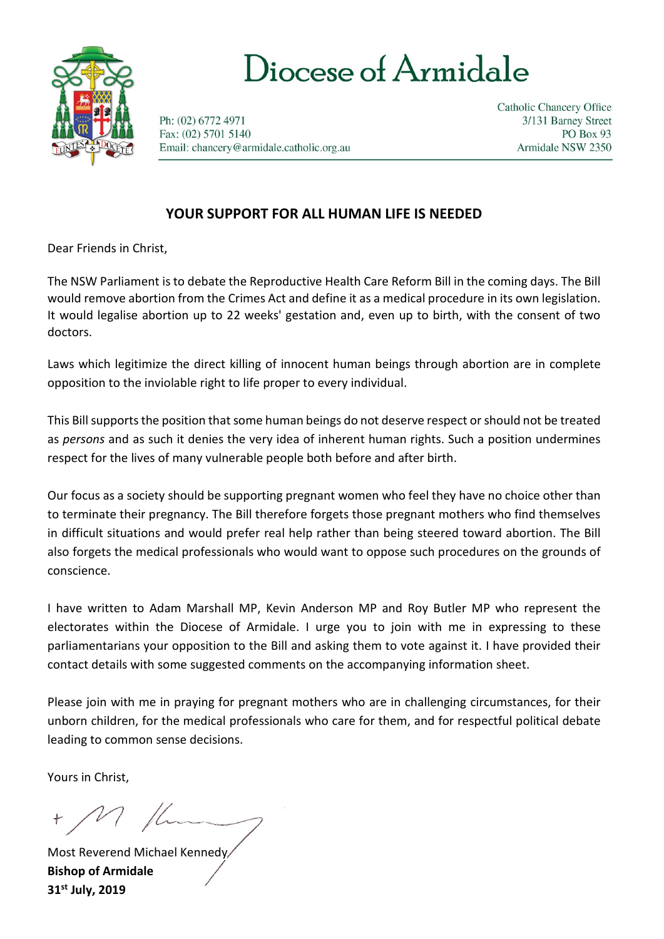

# Diocese of Armidale

Ph: (02) 6772 4971 Fax: (02) 5701 5140 Email: chancery@armidale.catholic.org.au **Catholic Chancery Office** 3/131 Barney Street PO Box 93 Armidale NSW 2350

## **YOUR SUPPORT FOR ALL HUMAN LIFE IS NEEDED**

Dear Friends in Christ,

The NSW Parliament is to debate the Reproductive Health Care Reform Bill in the coming days. The Bill would remove abortion from the Crimes Act and define it as a medical procedure in its own legislation. It would legalise abortion up to 22 weeks' gestation and, even up to birth, with the consent of two doctors.

Laws which legitimize the direct killing of innocent human beings through abortion are in complete opposition to the inviolable right to life proper to every individual.

This Bill supports the position that some human beings do not deserve respect or should not be treated as *persons* and as such it denies the very idea of inherent human rights. Such a position undermines respect for the lives of many vulnerable people both before and after birth.

Our focus as a society should be supporting pregnant women who feel they have no choice other than to terminate their pregnancy. The Bill therefore forgets those pregnant mothers who find themselves in difficult situations and would prefer real help rather than being steered toward abortion. The Bill also forgets the medical professionals who would want to oppose such procedures on the grounds of conscience.

I have written to Adam Marshall MP, Kevin Anderson MP and Roy Butler MP who represent the electorates within the Diocese of Armidale. I urge you to join with me in expressing to these parliamentarians your opposition to the Bill and asking them to vote against it. I have provided their contact details with some suggested comments on the accompanying information sheet.

Please join with me in praying for pregnant mothers who are in challenging circumstances, for their unborn children, for the medical professionals who care for them, and for respectful political debate leading to common sense decisions.

Yours in Christ,

+ M flum

Most Reverend Michael Kennedy **Bishop of Armidale 31st July, 2019**